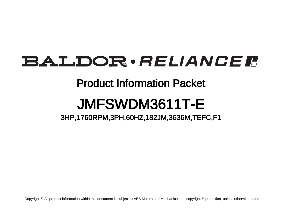# BALDOR · RELIANCE F

## Product Information Packet

# JMFSWDM3611T-E

3HP,1760RPM,3PH,60HZ,182JM,3636M,TEFC,F1

Copyright © All product information within this document is subject to ABB Motors and Mechanical Inc. copyright © protection, unless otherwise noted.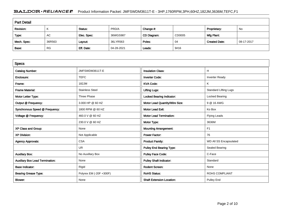### BALDOR · RELIANCE F Product Information Packet: JMFSWDM3611T-E - 3HP,1760RPM,3PH,60HZ,182JM,3636M,TEFC,F1

| <b>Part Detail</b> |           |             |            |             |        |                      |            |  |
|--------------------|-----------|-------------|------------|-------------|--------|----------------------|------------|--|
| Revision:          | K         | Status:     | PRD/A      | Change #:   |        | Proprietary:         | No         |  |
| Type:              | AC        | Elec. Spec: | 36WGS987   | CD Diagram: | CD0005 | Mfg Plant:           |            |  |
| Mech. Spec:        | 36R563    | Layout:     | 36LYR563   | Poles:      | 04     | <b>Created Date:</b> | 08-17-2017 |  |
| Base:              | <b>RG</b> | Eff. Date:  | 04-28-2021 | Leads:      | 9#16   |                      |            |  |

| <b>Specs</b>                           |                         |                                  |                              |
|----------------------------------------|-------------------------|----------------------------------|------------------------------|
| <b>Catalog Number:</b>                 | JMFSWDM3611T-E          | <b>Insulation Class:</b>         | H.                           |
| Enclosure:                             | <b>TEFC</b>             | <b>Inverter Code:</b>            | <b>Inverter Ready</b>        |
| Frame:                                 | 182JM                   | <b>KVA Code:</b>                 | K                            |
| <b>Frame Material:</b>                 | <b>Stainless Steel</b>  | <b>Lifting Lugs:</b>             | <b>Standard Lifting Lugs</b> |
| Motor Letter Type:                     | Three Phase             | <b>Locked Bearing Indicator:</b> | Locked Bearing               |
| Output @ Frequency:                    | 3.000 HP @ 60 HZ        | Motor Lead Quantity/Wire Size:   | 9 @ 16 AWG                   |
| Synchronous Speed @ Frequency:         | 1800 RPM @ 60 HZ        | <b>Motor Lead Exit:</b>          | Ko Box                       |
| Voltage @ Frequency:                   | 460.0 V @ 60 HZ         | <b>Motor Lead Termination:</b>   | <b>Flying Leads</b>          |
|                                        | 230.0 V @ 60 HZ         | Motor Type:                      | 3636M                        |
| XP Class and Group:                    | None                    | <b>Mounting Arrangement:</b>     | F1                           |
| <b>XP Division:</b>                    | Not Applicable          | <b>Power Factor:</b>             | 76                           |
| <b>Agency Approvals:</b>               | <b>CSA</b>              | <b>Product Family:</b>           | WD All SS Encapsulated       |
|                                        | UR                      | Pulley End Bearing Type:         | Sealed Bearing               |
| <b>Auxillary Box:</b>                  | No Auxillary Box        | <b>Pulley Face Code:</b>         | C-Face                       |
| <b>Auxillary Box Lead Termination:</b> | None                    | <b>Pulley Shaft Indicator:</b>   | Standard                     |
| <b>Base Indicator:</b>                 | Rigid                   | <b>Rodent Screen:</b>            | None                         |
| <b>Bearing Grease Type:</b>            | Polyrex EM (-20F +300F) | <b>RoHS Status:</b>              | <b>ROHS COMPLIANT</b>        |
| <b>Blower:</b>                         | None                    | <b>Shaft Extension Location:</b> | <b>Pulley End</b>            |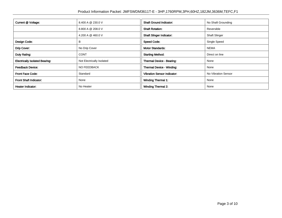| Current @ Voltage:                    | 8.400 A @ 230.0 V         | <b>Shaft Ground Indicator:</b>     | No Shaft Grounding   |  |
|---------------------------------------|---------------------------|------------------------------------|----------------------|--|
|                                       | 8.800 A @ 208.0 V         | <b>Shaft Rotation:</b>             | Reversible           |  |
|                                       | 4.200 A @ 460.0 V         | <b>Shaft Slinger Indicator:</b>    | <b>Shaft Slinger</b> |  |
| Design Code:                          | B                         | <b>Speed Code:</b>                 | Single Speed         |  |
| Drip Cover:                           | No Drip Cover             | <b>Motor Standards:</b>            | <b>NEMA</b>          |  |
| Duty Rating:                          | <b>CONT</b>               | <b>Starting Method:</b>            | Direct on line       |  |
| <b>Electrically Isolated Bearing:</b> | Not Electrically Isolated | Thermal Device - Bearing:          | None                 |  |
| <b>Feedback Device:</b>               | <b>NO FEEDBACK</b>        | Thermal Device - Winding:          | None                 |  |
| Front Face Code:                      | Standard                  | <b>Vibration Sensor Indicator:</b> | No Vibration Sensor  |  |
| Front Shaft Indicator:                | None                      | <b>Winding Thermal 1:</b>          | None                 |  |
| Heater Indicator:                     | No Heater                 | <b>Winding Thermal 2:</b>          | None                 |  |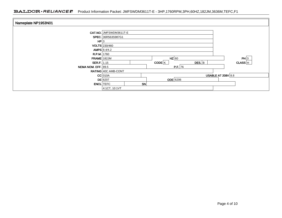### BALDOR · RELIANCE F Product Information Packet: JMFSWDM3611T-E - 3HP,1760RPM,3PH,60HZ,182JM,3636M,TEFC,F1

| Nameplate NP1953N01        |                        |    |                     |                 |                           |         |
|----------------------------|------------------------|----|---------------------|-----------------|---------------------------|---------|
|                            | CAT.NO. JMFSWDM3611T-E |    |                     |                 |                           |         |
|                            | SPEC. 36R563S987G1     |    |                     |                 |                           |         |
| HP 3                       |                        |    |                     |                 |                           |         |
|                            | VOLTS 230/460          |    |                     |                 |                           |         |
|                            | AMPS $8.4/4.2$         |    |                     |                 |                           |         |
| <b>R.P.M.</b> 1760         |                        |    |                     |                 |                           |         |
| <b>FRAME</b> 182JM         |                        |    |                     | $HZ$ 60         |                           | PH 3    |
| SER.F. 1.15                |                        |    | $\overline{CODE}$ K | $DES.$ B        |                           | CLASS H |
| <b>NEMA NOM. EFF. 89.5</b> |                        |    |                     | P.F. 76         |                           |         |
|                            | RATING 40C AMB-CONT    |    |                     |                 |                           |         |
|                            | $CC$ 010A              |    |                     |                 | <b>USABLE AT 208V 8.8</b> |         |
|                            | $DE$ 6207              |    |                     | <b>ODE</b> 6206 |                           |         |
|                            | <b>ENCL</b> TEFC       | SN |                     |                 |                           |         |
|                            | 4:1CT, 10:1VT          |    |                     |                 |                           |         |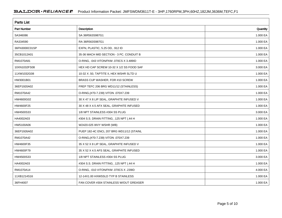| <b>Parts List</b>  |                                          |          |  |  |  |  |
|--------------------|------------------------------------------|----------|--|--|--|--|
| <b>Part Number</b> | Description                              | Quantity |  |  |  |  |
| SA346086           | SA 36R563S987G1                          | 1.000 EA |  |  |  |  |
| RA334590           | RA 36R563S987G1                          | 1.000 EA |  |  |  |  |
| 36FN3000C01SP      | EXFN, PLASTIC, 5.25 OD, .912 ID          | 1.000 EA |  |  |  |  |
| 35CB1012A01        | 35-36 MACH MID SECTION - 3 PC. CONDUIT B | 1.000 EA |  |  |  |  |
| RM1070A81          | O-RING, -043 VITON/FKM .070CS X 3.489ID  | 1.000 EA |  |  |  |  |
| 10XN1032FS08       | HEX HD CAP SCREW 10-32 X 1/2 SS FOOD SAF | 3.000 EA |  |  |  |  |
| 11XW1032G08        | 10-32 X .50, TAPTITE II, HEX WSHR SLTD U | 1.000 EA |  |  |  |  |
| HW3001B01          | BRASS CUP WASHER, FOR #10 SCREW          | 1.000 EA |  |  |  |  |
| 36EP1920A02        | FREP TEFC 206 BRG WD11/12 (STAINLESS)    | 1.000 EA |  |  |  |  |
| RM1070A42          | O-RING, (#70-7.239) VITON .070X7.239     | 1.000 EA |  |  |  |  |
| HW4600G02          | 30 X 47 X 8 LIP SEAL, GRAPHITE INFUSED V | 1.000 EA |  |  |  |  |
| HW4600F25          | 30 X 48 X 4.5 AFX SEAL, GRAPHITE INFUSED | 1.000 EA |  |  |  |  |
| HW4500S33          | 1/8 NPT STAINLESS #304 SS PLUG           | 3.000 EA |  |  |  |  |
| HA4002A03          | #304 S.S. DRAIN FITTING, .125 NPT (.44 H | 1.000 EA |  |  |  |  |
| HW5100A06          | W2420-025 WVY WSHR (WB)                  | 1.000 EA |  |  |  |  |
| 36EP1926A02        | PUEP 182-4C ENCL 207 BRG WD11/12 (STAINL | 1.000 EA |  |  |  |  |
| RM1070A42          | O-RING, (#70-7.239) VITON .070X7.239     | 1.000 EA |  |  |  |  |
| HW4600F35          | 35 X 52 X 8 LIP SEAL, GRAPHITE INFUSED V | 1.000 EA |  |  |  |  |
| HW4600F79          | 35 X 52 X 4.5 AFS SEAL, GRAPHITE INFUSED | 1.000 EA |  |  |  |  |
| HW4500S33          | 1/8 NPT STAINLESS #304 SS PLUG           | 3.000 EA |  |  |  |  |
| HA4002A03          | #304 S.S. DRAIN FITTING, .125 NPT (.44 H | 1.000 EA |  |  |  |  |
| RM1070A14          | O-RING, -010 VITON/FKM .070CS X .239ID   | 4.000 EA |  |  |  |  |
| 11XB1214S16        | 12-14X1.00 HXWSSLD TYP B STAINLESS       | 1.000 EA |  |  |  |  |
| 36FH4007           | FAN COVER #304 STAINLESS W/OUT GREASER   | 1.000 EA |  |  |  |  |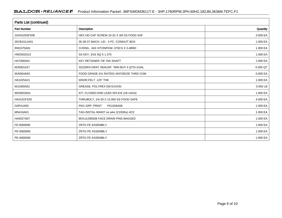| Parts List (continued) |                                          |            |  |  |  |  |
|------------------------|------------------------------------------|------------|--|--|--|--|
| <b>Part Number</b>     | <b>Description</b>                       | Quantity   |  |  |  |  |
| 10XN1032FS06           | HEX HD CAP SCREW 10-32 X 3/8 SS FOOD SAF | 3.000 EA   |  |  |  |  |
| 35CB1511A01            | 35-36-37 MACH. LID - 3 PC. CONDUIT BOX   | 1.000 EA   |  |  |  |  |
| RM1070A81              | O-RING, -043 VITON/FKM .070CS X 3.489ID  | 1.000 EA   |  |  |  |  |
| HW2502D13              | SS KEY, 3/16 SQ X 1.375                  | 1.000 EA   |  |  |  |  |
| HA7000A01              | KEY RETAINER 7/8" DIA SHAFT              | 1.000 EA   |  |  |  |  |
| MJ5001A27              | 32220KN GRAY SEALER *MIN BUY 4 QTS=1GAL  | 0.005 QT   |  |  |  |  |
| MJ5004A93              | FOOD GRADE (H1 RATED) ANTISEIZE THRD COM | 0.005 EA   |  |  |  |  |
| HA1025A21              | WSHR, FELT .125" THK                     | 1.000 EA   |  |  |  |  |
| MJ1000A02              | GREASE, POLYREX EM EXXON                 | $0.050$ LB |  |  |  |  |
| WD5603A01              | KIT, CLOSED-END LEAD SPLICE (18-14GA)    | 1.000 EA   |  |  |  |  |
| HA3101FS29             | THRUBOLT, 1/4-20 X 13.000 SS FOOD SAFE   | 4.000 EA   |  |  |  |  |
| G0PA1000               | PKG GRP, PRINT<br>PK1026A06              | 1.000 EA   |  |  |  |  |
| MN416A01               | TAG-INSTAL-MAINT no wire (2100/bx) 4/22  | 1.000 EA   |  |  |  |  |
| HA5027A07              | 85XU1208S08 FACE DRAIN PINS BAGGED       | 1.000 EA   |  |  |  |  |
| FE-0000006             | <b>ZRTG FE ASSEMBLY</b>                  | 1.000 EA   |  |  |  |  |
| PE-0000005             | ZRTG PE ASSEMBLY                         | 1.000 EA   |  |  |  |  |
| PE-0000006             | <b>ZRTG FE ASSEMBLY</b>                  | 1.000 EA   |  |  |  |  |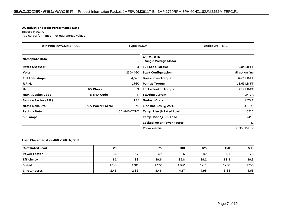#### **AC Induction Motor Performance Data**

Record # 39149Typical performance - not guaranteed values

| Winding: 36WGS987-R001<br><b>Type: 3636M</b> |                   | <b>Enclosure: TEFC</b> |                                              |                |
|----------------------------------------------|-------------------|------------------------|----------------------------------------------|----------------|
| <b>Nameplate Data</b>                        |                   |                        | 460 V, 60 Hz:<br><b>Single Voltage Motor</b> |                |
| <b>Rated Output (HP)</b>                     |                   | 3                      | <b>Full Load Torque</b>                      | 9.04 LB-FT     |
| <b>Volts</b>                                 |                   | 230/460                | <b>Start Configuration</b>                   | direct on line |
| <b>Full Load Amps</b>                        |                   | 8.4/4.2                | <b>Breakdown Torque</b>                      | 34.81 LB-FT    |
| <b>R.P.M.</b>                                |                   | 1760                   | <b>Pull-up Torque</b>                        | 18.62 LB-FT    |
| Hz                                           | 60 Phase          | 3                      | <b>Locked-rotor Torque</b>                   | 21.9 LB-FT     |
| <b>NEMA Design Code</b>                      | <b>B KVA Code</b> | K.                     | <b>Starting Current</b>                      | 34.1 A         |
| Service Factor (S.F.)                        |                   | 1.15                   | <b>No-load Current</b>                       | 2.25A          |
| <b>NEMA Nom. Eff.</b>                        | 89.5 Power Factor | 76                     | Line-line Res. @ 25°C                        | $3.58\Omega$   |
| <b>Rating - Duty</b>                         |                   | 40C AMB-CONT           | Temp. Rise @ Rated Load                      | $62^{\circ}$ C |
| S.F. Amps                                    |                   |                        | Temp. Rise @ S.F. Load                       | $74^{\circ}$ C |
|                                              |                   |                        | <b>Locked-rotor Power Factor</b>             | 41             |
|                                              |                   |                        | <b>Rotor inertia</b>                         | 0.335 LB-FT2   |

#### **Load Characteristics 460 V, 60 Hz, 3 HP**

| % of Rated Load     | 25   | 50   | 75   | 100  | 125  | 150  | S.F. |
|---------------------|------|------|------|------|------|------|------|
| <b>Power Factor</b> | 36   | 57   | 69   | 76   | 80   | 83   | 78   |
| <b>Efficiency</b>   | 82   | 88   | 89.6 | 89.8 | 89.2 | 88.3 | 89.3 |
| <b>Speed</b>        | 1790 | 1781 | 1772 | 1762 | 1751 | 1738 | 1755 |
| Line amperes        | 2.45 | 2.86 | 3.46 | 4.17 | 4.95 | 5.83 | 4.65 |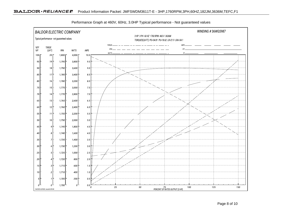

Performance Graph at 460V, 60Hz, 3.0HP Typical performance - Not guaranteed values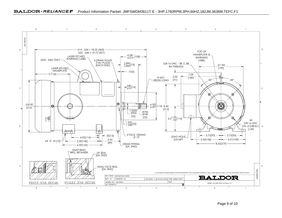